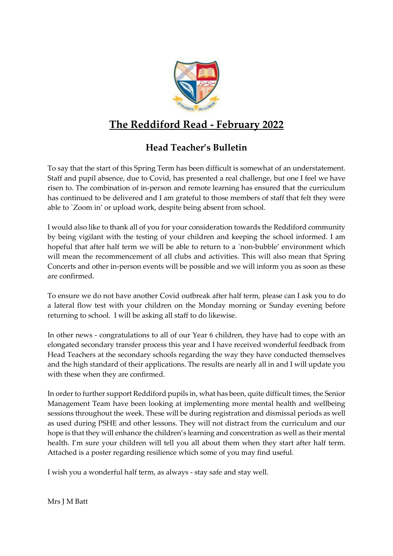

# **The Reddiford Read - February 2022**

# **Head Teacher's Bulletin**

To say that the start of this Spring Term has been difficult is somewhat of an understatement. Staff and pupil absence, due to Covid, has presented a real challenge, but one I feel we have risen to. The combination of in-person and remote learning has ensured that the curriculum has continued to be delivered and I am grateful to those members of staff that felt they were able to `Zoom in' or upload work, despite being absent from school.

I would also like to thank all of you for your consideration towards the Reddiford community by being vigilant with the testing of your children and keeping the school informed. I am hopeful that after half term we will be able to return to a `non-bubble' environment which will mean the recommencement of all clubs and activities. This will also mean that Spring Concerts and other in-person events will be possible and we will inform you as soon as these are confirmed.

To ensure we do not have another Covid outbreak after half term, please can I ask you to do a lateral flow test with your children on the Monday morning or Sunday evening before returning to school. I will be asking all staff to do likewise.

In other news - congratulations to all of our Year 6 children, they have had to cope with an elongated secondary transfer process this year and I have received wonderful feedback from Head Teachers at the secondary schools regarding the way they have conducted themselves and the high standard of their applications. The results are nearly all in and I will update you with these when they are confirmed.

In order to further support Reddiford pupils in, what has been, quite difficult times, the Senior Management Team have been looking at implementing more mental health and wellbeing sessions throughout the week. These will be during registration and dismissal periods as well as used during PSHE and other lessons. They will not distract from the curriculum and our hope is that they will enhance the children's learning and concentration as well as their mental health. I'm sure your children will tell you all about them when they start after half term. Attached is a poster regarding resilience which some of you may find useful.

I wish you a wonderful half term, as always - stay safe and stay well.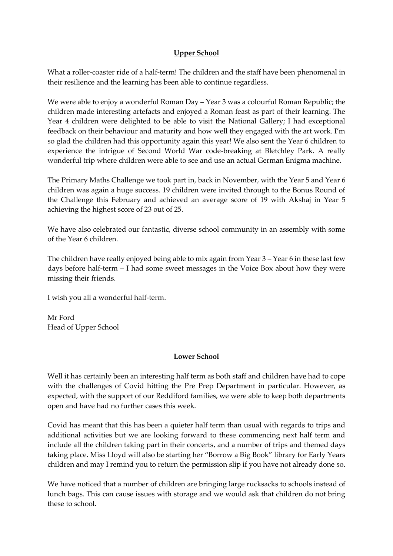# **Upper School**

What a roller-coaster ride of a half-term! The children and the staff have been phenomenal in their resilience and the learning has been able to continue regardless.

We were able to enjoy a wonderful Roman Day – Year 3 was a colourful Roman Republic; the children made interesting artefacts and enjoyed a Roman feast as part of their learning. The Year 4 children were delighted to be able to visit the National Gallery; I had exceptional feedback on their behaviour and maturity and how well they engaged with the art work. I'm so glad the children had this opportunity again this year! We also sent the Year 6 children to experience the intrigue of Second World War code-breaking at Bletchley Park. A really wonderful trip where children were able to see and use an actual German Enigma machine.

The Primary Maths Challenge we took part in, back in November, with the Year 5 and Year 6 children was again a huge success. 19 children were invited through to the Bonus Round of the Challenge this February and achieved an average score of 19 with Akshaj in Year 5 achieving the highest score of 23 out of 25.

We have also celebrated our fantastic, diverse school community in an assembly with some of the Year 6 children.

The children have really enjoyed being able to mix again from Year  $3 -$ Year 6 in these last few days before half-term – I had some sweet messages in the Voice Box about how they were missing their friends.

I wish you all a wonderful half-term.

Mr Ford Head of Upper School

## **Lower School**

Well it has certainly been an interesting half term as both staff and children have had to cope with the challenges of Covid hitting the Pre Prep Department in particular. However, as expected, with the support of our Reddiford families, we were able to keep both departments open and have had no further cases this week.

Covid has meant that this has been a quieter half term than usual with regards to trips and additional activities but we are looking forward to these commencing next half term and include all the children taking part in their concerts, and a number of trips and themed days taking place. Miss Lloyd will also be starting her "Borrow a Big Book" library for Early Years children and may I remind you to return the permission slip if you have not already done so.

We have noticed that a number of children are bringing large rucksacks to schools instead of lunch bags. This can cause issues with storage and we would ask that children do not bring these to school.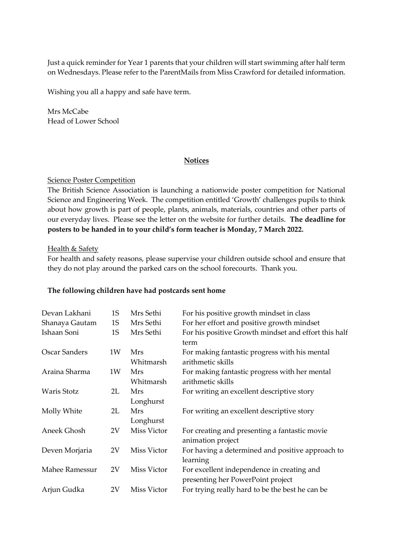Just a quick reminder for Year 1 parents that your children will start swimming after half term on Wednesdays. Please refer to the ParentMails from Miss Crawford for detailed information.

Wishing you all a happy and safe have term.

Mrs McCabe Head of Lower School

## **Notices**

#### Science Poster Competition

The British Science Association is launching a nationwide poster competition for National Science and Engineering Week. The competition entitled 'Growth' challenges pupils to think about how growth is part of people, plants, animals, materials, countries and other parts of our everyday lives. Please see the letter on the website for further details. **The deadline for posters to be handed in to your child's form teacher is Monday, 7 March 2022.**

#### Health & Safety

For health and safety reasons, please supervise your children outside school and ensure that they do not play around the parked cars on the school forecourts. Thank you.

#### **The following children have had postcards sent home**

| Devan Lakhani        | 1S | Mrs Sethi               | For his positive growth mindset in class                                        |
|----------------------|----|-------------------------|---------------------------------------------------------------------------------|
| Shanaya Gautam       | 1S | Mrs Sethi               | For her effort and positive growth mindset                                      |
| Ishaan Soni          | 1S | Mrs Sethi               | For his positive Growth mindset and effort this half<br>term                    |
| <b>Oscar Sanders</b> | 1W | Mrs<br>Whitmarsh        | For making fantastic progress with his mental<br>arithmetic skills              |
| Araina Sharma        | 1W | <b>Mrs</b><br>Whitmarsh | For making fantastic progress with her mental<br>arithmetic skills              |
| Waris Stotz          | 2L | <b>Mrs</b><br>Longhurst | For writing an excellent descriptive story                                      |
| Molly White          | 2L | <b>Mrs</b><br>Longhurst | For writing an excellent descriptive story                                      |
| Aneek Ghosh          | 2V | Miss Victor             | For creating and presenting a fantastic movie<br>animation project              |
| Deven Morjaria       | 2V | Miss Victor             | For having a determined and positive approach to<br>learning                    |
| Mahee Ramessur       | 2V | Miss Victor             | For excellent independence in creating and<br>presenting her PowerPoint project |
| Arjun Gudka          | 2V | Miss Victor             | For trying really hard to be the best he can be                                 |